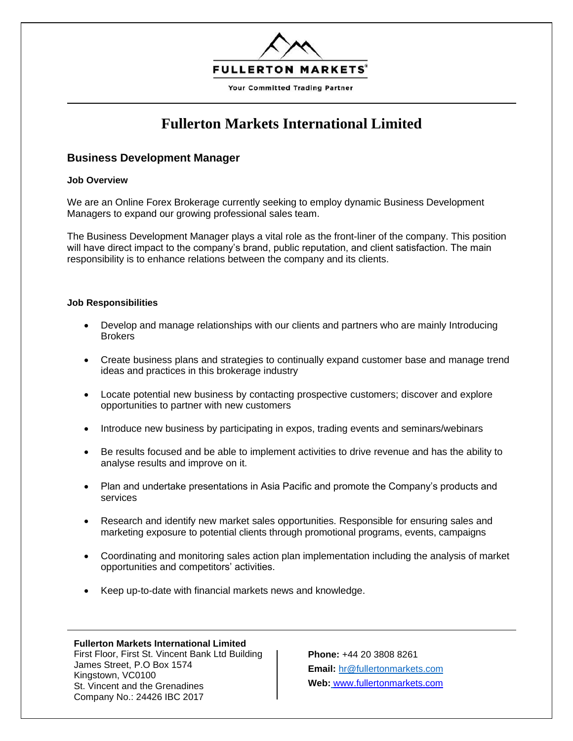

# **Fullerton Markets International Limited**

## **Business Development Manager**

#### **Job Overview**

We are an Online Forex Brokerage currently seeking to employ dynamic Business Development Managers to expand our growing professional sales team.

The Business Development Manager plays a vital role as the front-liner of the company. This position will have direct impact to the company's brand, public reputation, and client satisfaction. The main responsibility is to enhance relations between the company and its clients.

### **Job Responsibilities**

- Develop and manage relationships with our clients and partners who are mainly Introducing **Brokers**
- Create business plans and strategies to continually expand customer base and manage trend ideas and practices in this brokerage industry
- Locate potential new business by contacting prospective customers; discover and explore opportunities to partner with new customers
- Introduce new business by participating in expos, trading events and seminars/webinars
- Be results focused and be able to implement activities to drive revenue and has the ability to analyse results and improve on it.
- Plan and undertake presentations in Asia Pacific and promote the Company's products and services
- Research and identify new market sales opportunities. Responsible for ensuring sales and marketing exposure to potential clients through promotional programs, events, campaigns
- Coordinating and monitoring sales action plan implementation including the analysis of market opportunities and competitors' activities.
- Keep up-to-date with financial markets news and knowledge.

#### **Fullerton Markets International Limited**

First Floor, First St. Vincent Bank Ltd Building James Street, P.O Box 1574 Kingstown, VC0100 St. Vincent and the Grenadines Company No.: 24426 IBC 2017

**Phone:** +44 20 3808 8261 **Email:** [hr@fullertonmarkets.com](hr@fullertonmarkets.com%20%20)  **Web:** [www.fullertonmarkets.com](http://www.fullertonmarkets.com/)